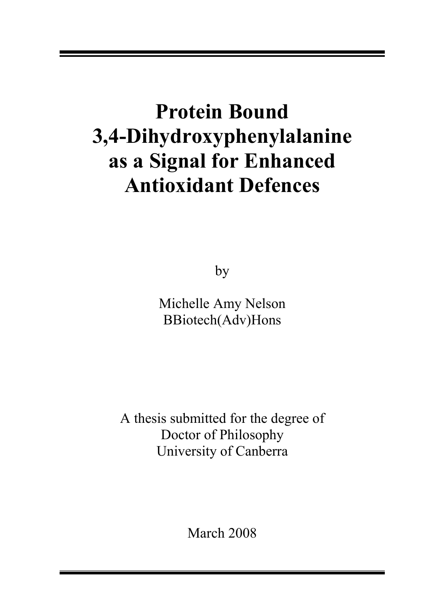# Protein Bound 3,4-Dihydroxyphenylalanine as a Signal for Enhanced Antioxidant Defences

by

Michelle Amy Nelson BBiotech(Adv)Hons

A thesis submitted for the degree of Doctor of Philosophy University of Canberra

March 2008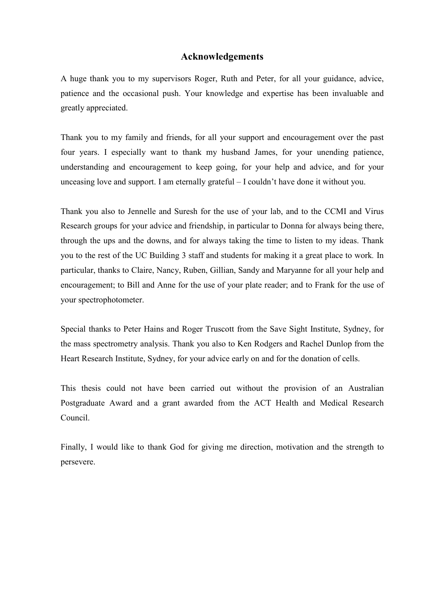#### Acknowledgements

A huge thank you to my supervisors Roger, Ruth and Peter, for all your guidance, advice, patience and the occasional push. Your knowledge and expertise has been invaluable and greatly appreciated.

Thank you to my family and friends, for all your support and encouragement over the past four years. I especially want to thank my husband James, for your unending patience, understanding and encouragement to keep going, for your help and advice, and for your unceasing love and support. I am eternally grateful – I couldn't have done it without you.

Thank you also to Jennelle and Suresh for the use of your lab, and to the CCMI and Virus Research groups for your advice and friendship, in particular to Donna for always being there, through the ups and the downs, and for always taking the time to listen to my ideas. Thank you to the rest of the UC Building 3 staff and students for making it a great place to work. In particular, thanks to Claire, Nancy, Ruben, Gillian, Sandy and Maryanne for all your help and encouragement; to Bill and Anne for the use of your plate reader; and to Frank for the use of your spectrophotometer.

Special thanks to Peter Hains and Roger Truscott from the Save Sight Institute, Sydney, for the mass spectrometry analysis. Thank you also to Ken Rodgers and Rachel Dunlop from the Heart Research Institute, Sydney, for your advice early on and for the donation of cells.

This thesis could not have been carried out without the provision of an Australian Postgraduate Award and a grant awarded from the ACT Health and Medical Research Council.

Finally, I would like to thank God for giving me direction, motivation and the strength to persevere.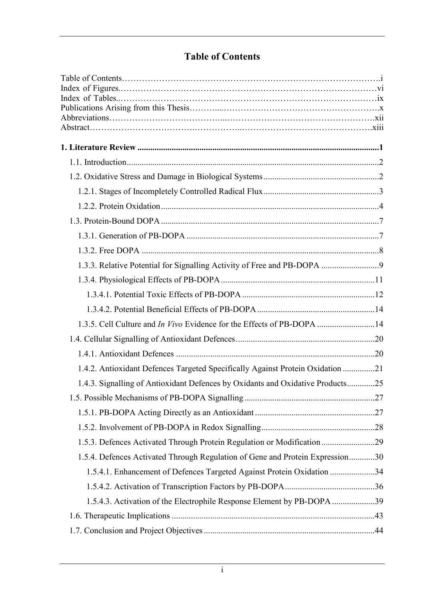## Table of Contents

| 1.3.5. Cell Culture and <i>In Vivo</i> Evidence for the Effects of PB-DOPA 14  |  |
|--------------------------------------------------------------------------------|--|
|                                                                                |  |
|                                                                                |  |
| 1.4.2. Antioxidant Defences Targeted Specifically Against Protein Oxidation 21 |  |
| 1.4.3. Signalling of Antioxidant Defences by Oxidants and Oxidative Products25 |  |
|                                                                                |  |
|                                                                                |  |
|                                                                                |  |
| 1.5.3. Defences Activated Through Protein Regulation or Modification29         |  |
| 1.5.4. Defences Activated Through Regulation of Gene and Protein Expression30  |  |
| 1.5.4.1. Enhancement of Defences Targeted Against Protein Oxidation 34         |  |
|                                                                                |  |
| 1.5.4.3. Activation of the Electrophile Response Element by PB-DOPA 39         |  |
|                                                                                |  |
|                                                                                |  |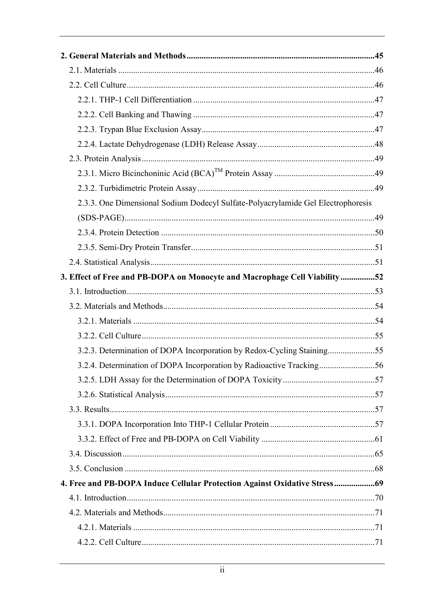| 2.3.3. One Dimensional Sodium Dodecyl Sulfate-Polyacrylamide Gel Electrophoresis |  |
|----------------------------------------------------------------------------------|--|
|                                                                                  |  |
|                                                                                  |  |
|                                                                                  |  |
|                                                                                  |  |
| 3. Effect of Free and PB-DOPA on Monocyte and Macrophage Cell Viability52        |  |
|                                                                                  |  |
|                                                                                  |  |
|                                                                                  |  |
|                                                                                  |  |
| 3.2.3. Determination of DOPA Incorporation by Redox-Cycling Staining55           |  |
| 3.2.4. Determination of DOPA Incorporation by Radioactive Tracking56             |  |
|                                                                                  |  |
|                                                                                  |  |
|                                                                                  |  |
|                                                                                  |  |
|                                                                                  |  |
|                                                                                  |  |
|                                                                                  |  |
| 4. Free and PB-DOPA Induce Cellular Protection Against Oxidative Stress 69       |  |
|                                                                                  |  |
|                                                                                  |  |
|                                                                                  |  |
|                                                                                  |  |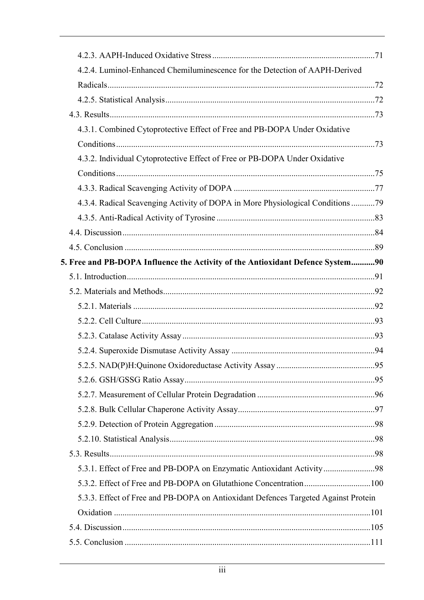| 4.2.4. Luminol-Enhanced Chemiluminescence for the Detection of AAPH-Derived        |  |
|------------------------------------------------------------------------------------|--|
|                                                                                    |  |
|                                                                                    |  |
|                                                                                    |  |
| 4.3.1. Combined Cytoprotective Effect of Free and PB-DOPA Under Oxidative          |  |
|                                                                                    |  |
| 4.3.2. Individual Cytoprotective Effect of Free or PB-DOPA Under Oxidative         |  |
|                                                                                    |  |
|                                                                                    |  |
| 4.3.4. Radical Scavenging Activity of DOPA in More Physiological Conditions 79     |  |
|                                                                                    |  |
|                                                                                    |  |
|                                                                                    |  |
| 5. Free and PB-DOPA Influence the Activity of the Antioxidant Defence System90     |  |
|                                                                                    |  |
|                                                                                    |  |
|                                                                                    |  |
|                                                                                    |  |
|                                                                                    |  |
|                                                                                    |  |
|                                                                                    |  |
|                                                                                    |  |
|                                                                                    |  |
|                                                                                    |  |
|                                                                                    |  |
|                                                                                    |  |
|                                                                                    |  |
| 5.3.1. Effect of Free and PB-DOPA on Enzymatic Antioxidant Activity98              |  |
|                                                                                    |  |
| 5.3.3. Effect of Free and PB-DOPA on Antioxidant Defences Targeted Against Protein |  |
|                                                                                    |  |
|                                                                                    |  |
|                                                                                    |  |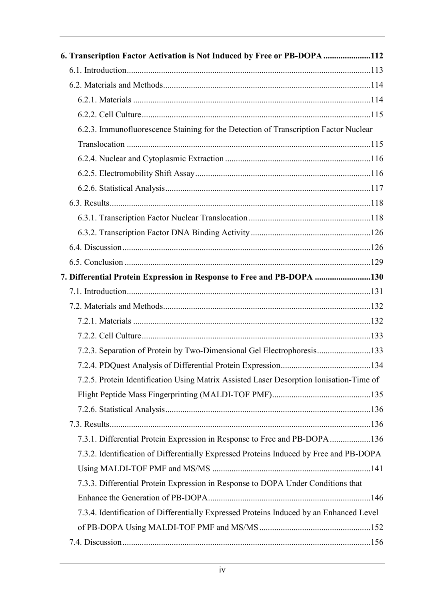| 6. Transcription Factor Activation is Not Induced by Free or PB-DOPA 112                |     |
|-----------------------------------------------------------------------------------------|-----|
|                                                                                         |     |
|                                                                                         |     |
|                                                                                         |     |
|                                                                                         |     |
| 6.2.3. Immunofluorescence Staining for the Detection of Transcription Factor Nuclear    |     |
|                                                                                         |     |
|                                                                                         |     |
|                                                                                         |     |
|                                                                                         |     |
|                                                                                         |     |
|                                                                                         |     |
|                                                                                         |     |
|                                                                                         |     |
|                                                                                         |     |
| 7. Differential Protein Expression in Response to Free and PB-DOPA 130                  |     |
|                                                                                         |     |
|                                                                                         |     |
|                                                                                         |     |
|                                                                                         |     |
| 7.2.3. Separation of Protein by Two-Dimensional Gel Electrophoresis133                  |     |
|                                                                                         | 134 |
| 7.2.5. Protein Identification Using Matrix Assisted Laser Desorption Ionisation-Time of |     |
|                                                                                         |     |
|                                                                                         |     |
|                                                                                         |     |
| 7.3.1. Differential Protein Expression in Response to Free and PB-DOPA 136              |     |
| 7.3.2. Identification of Differentially Expressed Proteins Induced by Free and PB-DOPA  |     |
|                                                                                         |     |
| 7.3.3. Differential Protein Expression in Response to DOPA Under Conditions that        |     |
|                                                                                         |     |
| 7.3.4. Identification of Differentially Expressed Proteins Induced by an Enhanced Level |     |
|                                                                                         |     |
|                                                                                         |     |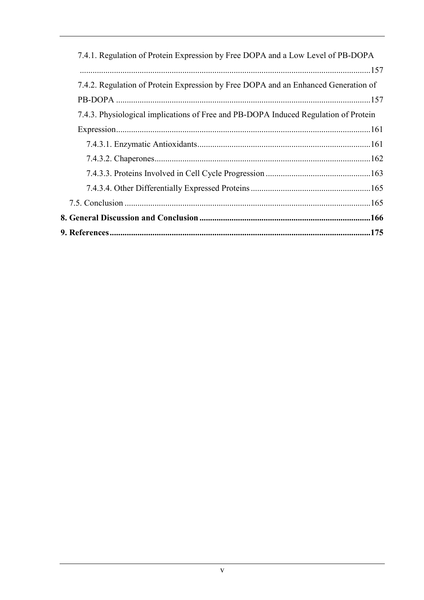| 7.4.1. Regulation of Protein Expression by Free DOPA and a Low Level of PB-DOPA     |  |
|-------------------------------------------------------------------------------------|--|
|                                                                                     |  |
| 7.4.2. Regulation of Protein Expression by Free DOPA and an Enhanced Generation of  |  |
|                                                                                     |  |
| 7.4.3. Physiological implications of Free and PB-DOPA Induced Regulation of Protein |  |
|                                                                                     |  |
|                                                                                     |  |
|                                                                                     |  |
|                                                                                     |  |
|                                                                                     |  |
|                                                                                     |  |
|                                                                                     |  |
|                                                                                     |  |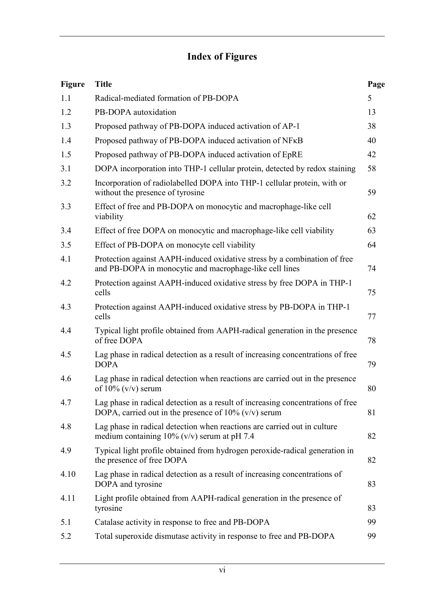## Index of Figures

| <b>Figure</b> | <b>Title</b>                                                                                                                               | Page |
|---------------|--------------------------------------------------------------------------------------------------------------------------------------------|------|
| 1.1           | Radical-mediated formation of PB-DOPA                                                                                                      | 5    |
| 1.2           | PB-DOPA autoxidation                                                                                                                       | 13   |
| 1.3           | Proposed pathway of PB-DOPA induced activation of AP-1                                                                                     | 38   |
| 1.4           | Proposed pathway of PB-DOPA induced activation of NFKB                                                                                     | 40   |
| 1.5           | Proposed pathway of PB-DOPA induced activation of EpRE                                                                                     | 42   |
| 3.1           | DOPA incorporation into THP-1 cellular protein, detected by redox staining                                                                 | 58   |
| 3.2           | Incorporation of radiolabelled DOPA into THP-1 cellular protein, with or<br>without the presence of tyrosine                               | 59   |
| 3.3           | Effect of free and PB-DOPA on monocytic and macrophage-like cell<br>viability                                                              | 62   |
| 3.4           | Effect of free DOPA on monocytic and macrophage-like cell viability                                                                        | 63   |
| 3.5           | Effect of PB-DOPA on monocyte cell viability                                                                                               | 64   |
| 4.1           | Protection against AAPH-induced oxidative stress by a combination of free<br>and PB-DOPA in monocytic and macrophage-like cell lines       | 74   |
| 4.2           | Protection against AAPH-induced oxidative stress by free DOPA in THP-1<br>cells                                                            | 75   |
| 4.3           | Protection against AAPH-induced oxidative stress by PB-DOPA in THP-1<br>cells                                                              | 77   |
| 4.4           | Typical light profile obtained from AAPH-radical generation in the presence<br>of free DOPA                                                | 78   |
| 4.5           | Lag phase in radical detection as a result of increasing concentrations of free<br><b>DOPA</b>                                             | 79   |
| 4.6           | Lag phase in radical detection when reactions are carried out in the presence<br>of $10\%$ (v/v) serum                                     | 80   |
| 4.7           | Lag phase in radical detection as a result of increasing concentrations of free<br>DOPA, carried out in the presence of $10\%$ (v/v) serum | 81   |
| 4.8           | Lag phase in radical detection when reactions are carried out in culture<br>medium containing $10\%$ (v/v) serum at pH 7.4                 | 82   |
| 4.9           | Typical light profile obtained from hydrogen peroxide-radical generation in<br>the presence of free DOPA                                   | 82   |
| 4.10          | Lag phase in radical detection as a result of increasing concentrations of<br>DOPA and tyrosine                                            | 83   |
| 4.11          | Light profile obtained from AAPH-radical generation in the presence of<br>tyrosine                                                         | 83   |
| 5.1           | Catalase activity in response to free and PB-DOPA                                                                                          | 99   |
| 5.2           | Total superoxide dismutase activity in response to free and PB-DOPA                                                                        | 99   |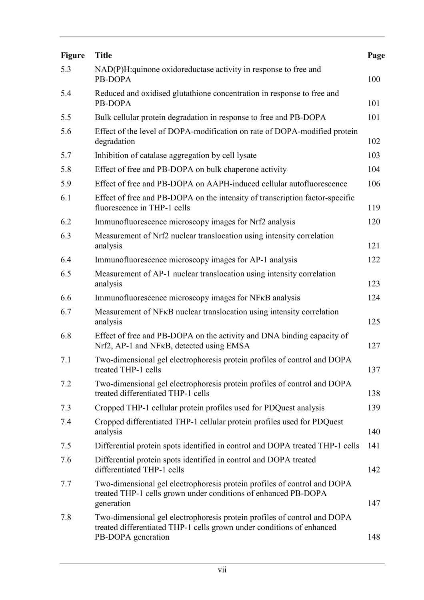| <b>Figure</b> | <b>Title</b>                                                                                                                                                            | Page |
|---------------|-------------------------------------------------------------------------------------------------------------------------------------------------------------------------|------|
| 5.3           | NAD(P)H: quinone oxidoreductase activity in response to free and<br>PB-DOPA                                                                                             | 100  |
| 5.4           | Reduced and oxidised glutathione concentration in response to free and<br>PB-DOPA                                                                                       | 101  |
| 5.5           | Bulk cellular protein degradation in response to free and PB-DOPA                                                                                                       | 101  |
| 5.6           | Effect of the level of DOPA-modification on rate of DOPA-modified protein<br>degradation                                                                                | 102  |
| 5.7           | Inhibition of catalase aggregation by cell lysate                                                                                                                       | 103  |
| 5.8           | Effect of free and PB-DOPA on bulk chaperone activity                                                                                                                   | 104  |
| 5.9           | Effect of free and PB-DOPA on AAPH-induced cellular autofluorescence                                                                                                    | 106  |
| 6.1           | Effect of free and PB-DOPA on the intensity of transcription factor-specific<br>fluorescence in THP-1 cells                                                             | 119  |
| 6.2           | Immunofluorescence microscopy images for Nrf2 analysis                                                                                                                  | 120  |
| 6.3           | Measurement of Nrf2 nuclear translocation using intensity correlation<br>analysis                                                                                       | 121  |
| 6.4           | Immunofluorescence microscopy images for AP-1 analysis                                                                                                                  | 122  |
| 6.5           | Measurement of AP-1 nuclear translocation using intensity correlation<br>analysis                                                                                       | 123  |
| 6.6           | Immunofluorescence microscopy images for NFKB analysis                                                                                                                  | 124  |
| 6.7           | Measurement of NF <sub>K</sub> B nuclear translocation using intensity correlation<br>analysis                                                                          | 125  |
| 6.8           | Effect of free and PB-DOPA on the activity and DNA binding capacity of<br>Nrf2, AP-1 and NF <sub>KB</sub> , detected using EMSA                                         | 127  |
| 7.1           | Two-dimensional gel electrophoresis protein profiles of control and DOPA<br>treated THP-1 cells                                                                         | 137  |
| 7.2           | Two-dimensional gel electrophoresis protein profiles of control and DOPA<br>treated differentiated THP-1 cells                                                          | 138  |
| 7.3           | Cropped THP-1 cellular protein profiles used for PDQuest analysis                                                                                                       | 139  |
| 7.4           | Cropped differentiated THP-1 cellular protein profiles used for PDQuest<br>analysis                                                                                     | 140  |
| 7.5           | Differential protein spots identified in control and DOPA treated THP-1 cells                                                                                           | 141  |
| 7.6           | Differential protein spots identified in control and DOPA treated<br>differentiated THP-1 cells                                                                         | 142  |
| 7.7           | Two-dimensional gel electrophoresis protein profiles of control and DOPA<br>treated THP-1 cells grown under conditions of enhanced PB-DOPA<br>generation                | 147  |
| 7.8           | Two-dimensional gel electrophoresis protein profiles of control and DOPA<br>treated differentiated THP-1 cells grown under conditions of enhanced<br>PB-DOPA generation | 148  |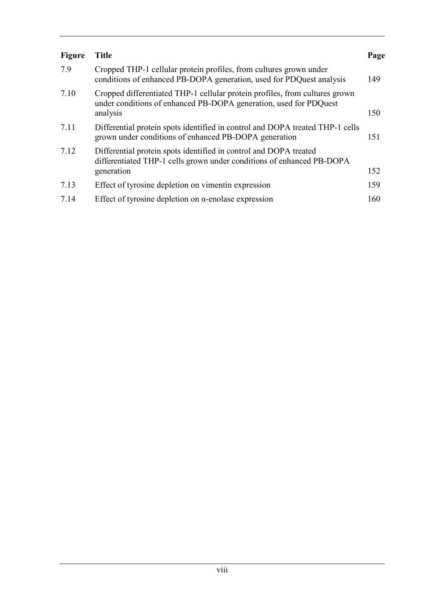| <b>Figure</b> | <b>Title</b>                                                                                                                                                 | Page |
|---------------|--------------------------------------------------------------------------------------------------------------------------------------------------------------|------|
| 7.9           | Cropped THP-1 cellular protein profiles, from cultures grown under<br>conditions of enhanced PB-DOPA generation, used for PDQuest analysis                   | 149  |
| 7.10          | Cropped differentiated THP-1 cellular protein profiles, from cultures grown<br>under conditions of enhanced PB-DOPA generation, used for PDQuest<br>analysis | 150  |
| 7.11          | Differential protein spots identified in control and DOPA treated THP-1 cells<br>grown under conditions of enhanced PB-DOPA generation                       | 151  |
| 7.12          | Differential protein spots identified in control and DOPA treated<br>differentiated THP-1 cells grown under conditions of enhanced PB-DOPA<br>generation     | 152  |
| 7.13          | Effect of tyrosine depletion on vimentin expression                                                                                                          | 159  |
| 7.14          | Effect of tyrosine depletion on $\alpha$ -enolase expression                                                                                                 | 160  |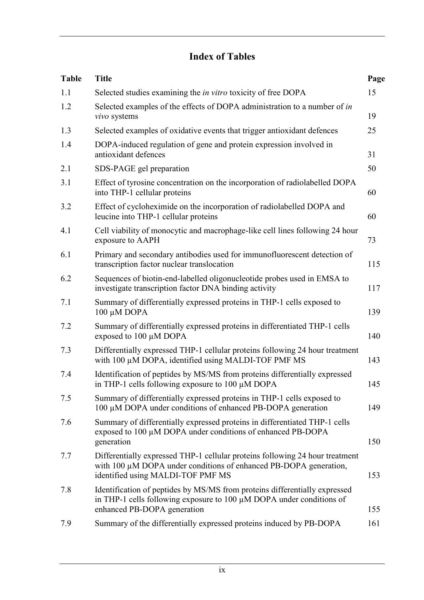## Index of Tables

| <b>Table</b> | <b>Title</b>                                                                                                                                                                           | Page |
|--------------|----------------------------------------------------------------------------------------------------------------------------------------------------------------------------------------|------|
| 1.1          | Selected studies examining the <i>in vitro</i> toxicity of free DOPA                                                                                                                   | 15   |
| 1.2          | Selected examples of the effects of DOPA administration to a number of in<br>vivo systems                                                                                              | 19   |
| 1.3          | Selected examples of oxidative events that trigger antioxidant defences                                                                                                                | 25   |
| 1.4          | DOPA-induced regulation of gene and protein expression involved in<br>antioxidant defences                                                                                             | 31   |
| 2.1          | SDS-PAGE gel preparation                                                                                                                                                               | 50   |
| 3.1          | Effect of tyrosine concentration on the incorporation of radiolabelled DOPA<br>into THP-1 cellular proteins                                                                            | 60   |
| 3.2          | Effect of cycloheximide on the incorporation of radiolabelled DOPA and<br>leucine into THP-1 cellular proteins                                                                         | 60   |
| 4.1          | Cell viability of monocytic and macrophage-like cell lines following 24 hour<br>exposure to AAPH                                                                                       | 73   |
| 6.1          | Primary and secondary antibodies used for immunofluorescent detection of<br>transcription factor nuclear translocation                                                                 | 115  |
| 6.2          | Sequences of biotin-end-labelled oligonucleotide probes used in EMSA to<br>investigate transcription factor DNA binding activity                                                       | 117  |
| 7.1          | Summary of differentially expressed proteins in THP-1 cells exposed to<br>100 μM DOPA                                                                                                  | 139  |
| 7.2          | Summary of differentially expressed proteins in differentiated THP-1 cells<br>exposed to 100 µM DOPA                                                                                   | 140  |
| 7.3          | Differentially expressed THP-1 cellular proteins following 24 hour treatment<br>with 100 µM DOPA, identified using MALDI-TOF PMF MS                                                    | 143  |
| 7.4          | Identification of peptides by MS/MS from proteins differentially expressed<br>in THP-1 cells following exposure to $100 \mu M$ DOPA                                                    | 145  |
| 7.5          | Summary of differentially expressed proteins in THP-1 cells exposed to<br>100 μM DOPA under conditions of enhanced PB-DOPA generation                                                  | 149  |
| 7.6          | Summary of differentially expressed proteins in differentiated THP-1 cells<br>exposed to 100 µM DOPA under conditions of enhanced PB-DOPA<br>generation                                | 150  |
| 7.7          | Differentially expressed THP-1 cellular proteins following 24 hour treatment<br>with 100 μM DOPA under conditions of enhanced PB-DOPA generation,<br>identified using MALDI-TOF PMF MS | 153  |
| 7.8          | Identification of peptides by MS/MS from proteins differentially expressed<br>in THP-1 cells following exposure to 100 $\mu$ M DOPA under conditions of<br>enhanced PB-DOPA generation | 155  |
| 7.9          | Summary of the differentially expressed proteins induced by PB-DOPA                                                                                                                    | 161  |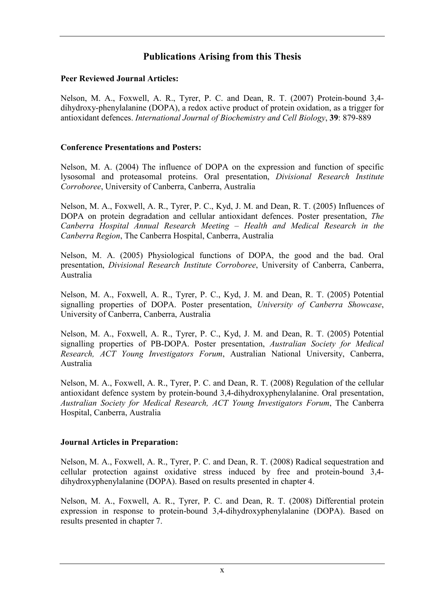### Publications Arising from this Thesis

#### Peer Reviewed Journal Articles:

Nelson, M. A., Foxwell, A. R., Tyrer, P. C. and Dean, R. T. (2007) Protein-bound 3,4 dihydroxy-phenylalanine (DOPA), a redox active product of protein oxidation, as a trigger for antioxidant defences. International Journal of Biochemistry and Cell Biology, 39: 879-889

#### Conference Presentations and Posters:

Nelson, M. A. (2004) The influence of DOPA on the expression and function of specific lysosomal and proteasomal proteins. Oral presentation, Divisional Research Institute Corroboree, University of Canberra, Canberra, Australia

Nelson, M. A., Foxwell, A. R., Tyrer, P. C., Kyd, J. M. and Dean, R. T. (2005) Influences of DOPA on protein degradation and cellular antioxidant defences. Poster presentation, *The* Canberra Hospital Annual Research Meeting – Health and Medical Research in the Canberra Region, The Canberra Hospital, Canberra, Australia

Nelson, M. A. (2005) Physiological functions of DOPA, the good and the bad. Oral presentation, Divisional Research Institute Corroboree, University of Canberra, Canberra, Australia

Nelson, M. A., Foxwell, A. R., Tyrer, P. C., Kyd, J. M. and Dean, R. T. (2005) Potential signalling properties of DOPA. Poster presentation, University of Canberra Showcase, University of Canberra, Canberra, Australia

Nelson, M. A., Foxwell, A. R., Tyrer, P. C., Kyd, J. M. and Dean, R. T. (2005) Potential signalling properties of PB-DOPA. Poster presentation, Australian Society for Medical Research, ACT Young Investigators Forum, Australian National University, Canberra, Australia

Nelson, M. A., Foxwell, A. R., Tyrer, P. C. and Dean, R. T. (2008) Regulation of the cellular antioxidant defence system by protein-bound 3,4-dihydroxyphenylalanine. Oral presentation, Australian Society for Medical Research, ACT Young Investigators Forum, The Canberra Hospital, Canberra, Australia

#### Journal Articles in Preparation:

Nelson, M. A., Foxwell, A. R., Tyrer, P. C. and Dean, R. T. (2008) Radical sequestration and cellular protection against oxidative stress induced by free and protein-bound 3,4 dihydroxyphenylalanine (DOPA). Based on results presented in chapter 4.

Nelson, M. A., Foxwell, A. R., Tyrer, P. C. and Dean, R. T. (2008) Differential protein expression in response to protein-bound 3,4-dihydroxyphenylalanine (DOPA). Based on results presented in chapter 7.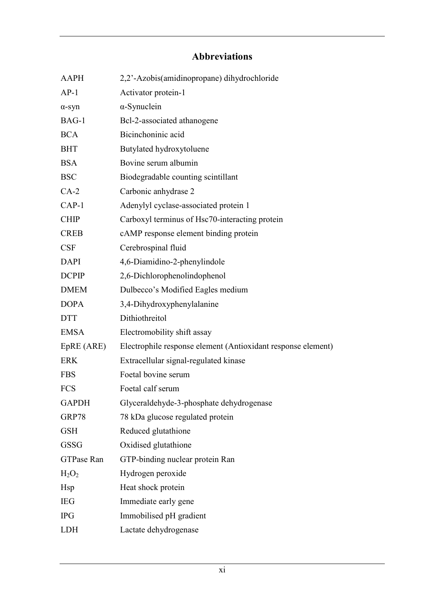## Abbreviations

| <b>AAPH</b>       | 2,2'-Azobis(amidinopropane) dihydrochloride                  |
|-------------------|--------------------------------------------------------------|
| $AP-1$            | Activator protein-1                                          |
| $\alpha$ -syn     | $\alpha$ -Synuclein                                          |
| BAG-1             | Bcl-2-associated athanogene                                  |
| <b>BCA</b>        | Bicinchoninic acid                                           |
| <b>BHT</b>        | Butylated hydroxytoluene                                     |
| <b>BSA</b>        | Bovine serum albumin                                         |
| <b>BSC</b>        | Biodegradable counting scintillant                           |
| $CA-2$            | Carbonic anhydrase 2                                         |
| $CAP-1$           | Adenylyl cyclase-associated protein 1                        |
| <b>CHIP</b>       | Carboxyl terminus of Hsc70-interacting protein               |
| <b>CREB</b>       | cAMP response element binding protein                        |
| <b>CSF</b>        | Cerebrospinal fluid                                          |
| <b>DAPI</b>       | 4,6-Diamidino-2-phenylindole                                 |
| <b>DCPIP</b>      | 2,6-Dichlorophenolindophenol                                 |
| <b>DMEM</b>       | Dulbecco's Modified Eagles medium                            |
| <b>DOPA</b>       | 3,4-Dihydroxyphenylalanine                                   |
| <b>DTT</b>        | Dithiothreitol                                               |
| <b>EMSA</b>       | Electromobility shift assay                                  |
| EpRE (ARE)        | Electrophile response element (Antioxidant response element) |
| <b>ERK</b>        | Extracellular signal-regulated kinase                        |
| <b>FBS</b>        | Foetal bovine serum                                          |
| <b>FCS</b>        | Foetal calf serum                                            |
| <b>GAPDH</b>      | Glyceraldehyde-3-phosphate dehydrogenase                     |
| GRP78             | 78 kDa glucose regulated protein                             |
| <b>GSH</b>        | Reduced glutathione                                          |
| <b>GSSG</b>       | Oxidised glutathione                                         |
| <b>GTPase Ran</b> | GTP-binding nuclear protein Ran                              |
| $H_2O_2$          | Hydrogen peroxide                                            |
| Hsp               | Heat shock protein                                           |
| <b>IEG</b>        | Immediate early gene                                         |
| <b>IPG</b>        | Immobilised pH gradient                                      |
| <b>LDH</b>        | Lactate dehydrogenase                                        |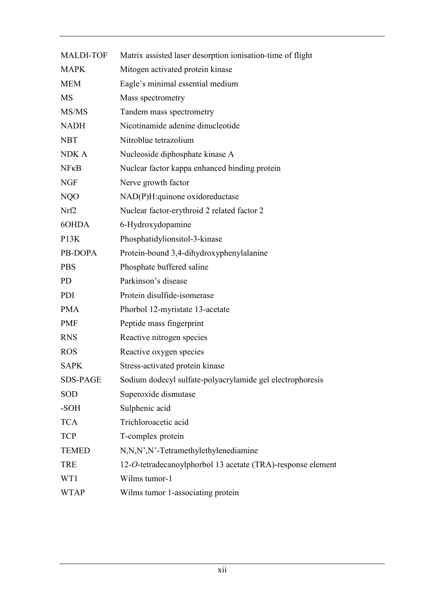| <b>MALDI-TOF</b>  | Matrix assisted laser desorption ionisation-time of flight  |
|-------------------|-------------------------------------------------------------|
| <b>MAPK</b>       | Mitogen activated protein kinase                            |
| <b>MEM</b>        | Eagle's minimal essential medium                            |
| <b>MS</b>         | Mass spectrometry                                           |
| MS/MS             | Tandem mass spectrometry                                    |
| <b>NADH</b>       | Nicotinamide adenine dinucleotide                           |
| <b>NBT</b>        | Nitroblue tetrazolium                                       |
| NDK A             | Nucleoside diphosphate kinase A                             |
| NFRB              | Nuclear factor kappa enhanced binding protein               |
| <b>NGF</b>        | Nerve growth factor                                         |
| NQO               | NAD(P)H:quinone oxidoreductase                              |
| Nrf2              | Nuclear factor-erythroid 2 related factor 2                 |
| 60HDA             | 6-Hydroxydopamine                                           |
| P <sub>13</sub> K | Phosphatidylionsitol-3-kinase                               |
| PB-DOPA           | Protein-bound 3,4-dihydroxyphenylalanine                    |
| <b>PBS</b>        | Phosphate buffered saline                                   |
| <b>PD</b>         | Parkinson's disease                                         |
| PDI               | Protein disulfide-isomerase                                 |
| <b>PMA</b>        | Phorbol 12-myristate 13-acetate                             |
| <b>PMF</b>        | Peptide mass fingerprint                                    |
| <b>RNS</b>        | Reactive nitrogen species                                   |
| <b>ROS</b>        | Reactive oxygen species                                     |
| <b>SAPK</b>       | Stress-activated protein kinase                             |
| <b>SDS-PAGE</b>   | Sodium dodecyl sulfate-polyacrylamide gel electrophoresis   |
| <b>SOD</b>        | Superoxide dismutase                                        |
| -SOH              | Sulphenic acid                                              |
| <b>TCA</b>        | Trichloroacetic acid                                        |
| <b>TCP</b>        | T-complex protein                                           |
| <b>TEMED</b>      | N,N,N',N'-Tetramethylethylenediamine                        |
| <b>TRE</b>        | 12-O-tetradecanoylphorbol 13 acetate (TRA)-response element |
| WT1               | Wilms tumor-1                                               |
| <b>WTAP</b>       | Wilms tumor 1-associating protein                           |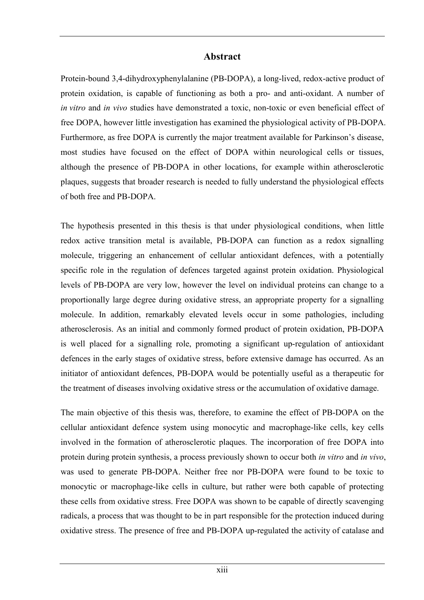#### Abstract

Protein-bound 3,4-dihydroxyphenylalanine (PB-DOPA), a long-lived, redox-active product of protein oxidation, is capable of functioning as both a pro- and anti-oxidant. A number of in vitro and in vivo studies have demonstrated a toxic, non-toxic or even beneficial effect of free DOPA, however little investigation has examined the physiological activity of PB-DOPA. Furthermore, as free DOPA is currently the major treatment available for Parkinson's disease, most studies have focused on the effect of DOPA within neurological cells or tissues, although the presence of PB-DOPA in other locations, for example within atherosclerotic plaques, suggests that broader research is needed to fully understand the physiological effects of both free and PB-DOPA.

The hypothesis presented in this thesis is that under physiological conditions, when little redox active transition metal is available, PB-DOPA can function as a redox signalling molecule, triggering an enhancement of cellular antioxidant defences, with a potentially specific role in the regulation of defences targeted against protein oxidation. Physiological levels of PB-DOPA are very low, however the level on individual proteins can change to a proportionally large degree during oxidative stress, an appropriate property for a signalling molecule. In addition, remarkably elevated levels occur in some pathologies, including atherosclerosis. As an initial and commonly formed product of protein oxidation, PB-DOPA is well placed for a signalling role, promoting a significant up-regulation of antioxidant defences in the early stages of oxidative stress, before extensive damage has occurred. As an initiator of antioxidant defences, PB-DOPA would be potentially useful as a therapeutic for the treatment of diseases involving oxidative stress or the accumulation of oxidative damage.

The main objective of this thesis was, therefore, to examine the effect of PB-DOPA on the cellular antioxidant defence system using monocytic and macrophage-like cells, key cells involved in the formation of atherosclerotic plaques. The incorporation of free DOPA into protein during protein synthesis, a process previously shown to occur both in vitro and in vivo, was used to generate PB-DOPA. Neither free nor PB-DOPA were found to be toxic to monocytic or macrophage-like cells in culture, but rather were both capable of protecting these cells from oxidative stress. Free DOPA was shown to be capable of directly scavenging radicals, a process that was thought to be in part responsible for the protection induced during oxidative stress. The presence of free and PB-DOPA up-regulated the activity of catalase and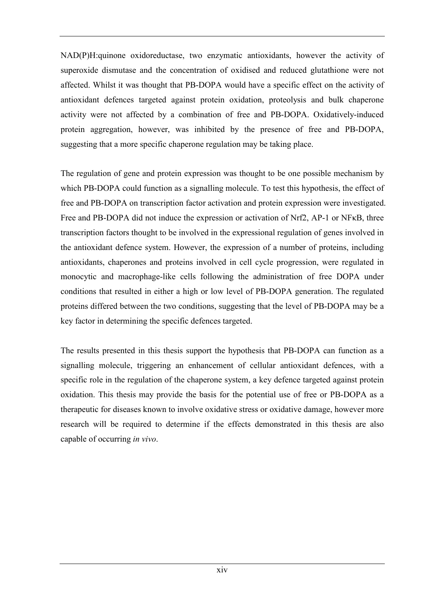NAD(P)H:quinone oxidoreductase, two enzymatic antioxidants, however the activity of superoxide dismutase and the concentration of oxidised and reduced glutathione were not affected. Whilst it was thought that PB-DOPA would have a specific effect on the activity of antioxidant defences targeted against protein oxidation, proteolysis and bulk chaperone activity were not affected by a combination of free and PB-DOPA. Oxidatively-induced protein aggregation, however, was inhibited by the presence of free and PB-DOPA, suggesting that a more specific chaperone regulation may be taking place.

The regulation of gene and protein expression was thought to be one possible mechanism by which PB-DOPA could function as a signalling molecule. To test this hypothesis, the effect of free and PB-DOPA on transcription factor activation and protein expression were investigated. Free and PB-DOPA did not induce the expression or activation of Nrf2, AP-1 or NFκB, three transcription factors thought to be involved in the expressional regulation of genes involved in the antioxidant defence system. However, the expression of a number of proteins, including antioxidants, chaperones and proteins involved in cell cycle progression, were regulated in monocytic and macrophage-like cells following the administration of free DOPA under conditions that resulted in either a high or low level of PB-DOPA generation. The regulated proteins differed between the two conditions, suggesting that the level of PB-DOPA may be a key factor in determining the specific defences targeted.

The results presented in this thesis support the hypothesis that PB-DOPA can function as a signalling molecule, triggering an enhancement of cellular antioxidant defences, with a specific role in the regulation of the chaperone system, a key defence targeted against protein oxidation. This thesis may provide the basis for the potential use of free or PB-DOPA as a therapeutic for diseases known to involve oxidative stress or oxidative damage, however more research will be required to determine if the effects demonstrated in this thesis are also capable of occurring in vivo.